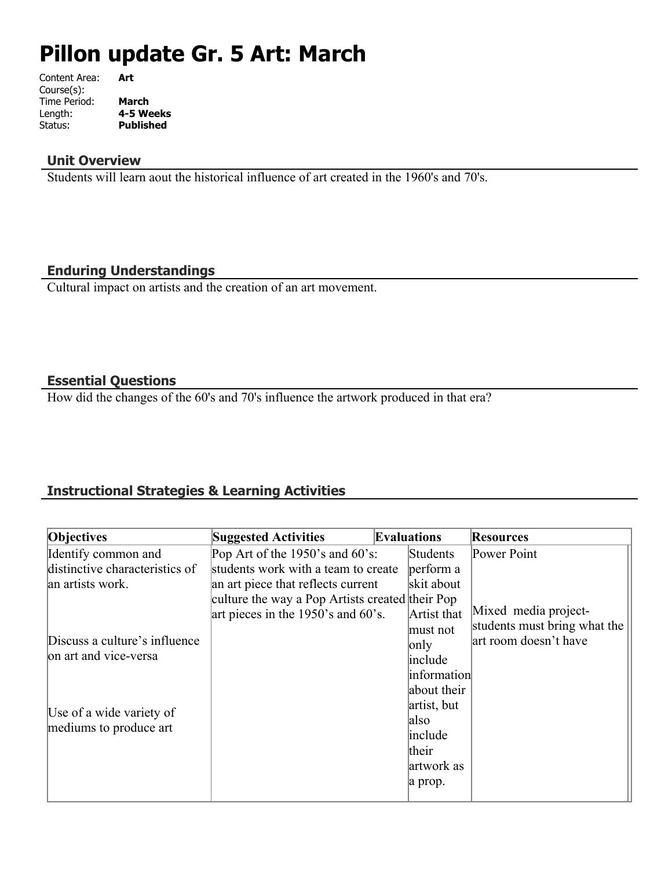# **Pillon update Gr. 5 Art: March**

| Art              |
|------------------|
|                  |
| <b>March</b>     |
| 4-5 Weeks        |
| <b>Published</b> |
|                  |

## **Unit Overview**

Students will learn aout the historical influence of art created in the 1960's and 70's.

## **Enduring Understandings**

Cultural impact on artists and the creation of an art movement.

## **Essential Questions**

How did the changes of the 60's and 70's influence the artwork produced in that era?

# **Instructional Strategies & Learning Activities**

| Objectives                     | <b>Suggested Activities</b>                     | <b>Evaluations</b> | <b>Resources</b>             |
|--------------------------------|-------------------------------------------------|--------------------|------------------------------|
| Identify common and            | Pop Art of the $1950$ 's and $60$ 's:           | Students           | Power Point                  |
| distinctive characteristics of | students work with a team to create             | perform a          |                              |
| an artists work.               | an art piece that reflects current              | skit about         |                              |
|                                | culture the way a Pop Artists created their Pop |                    |                              |
|                                | art pieces in the 1950's and 60's.              | Artist that        | Mixed media project-         |
|                                |                                                 | must not           | students must bring what the |
| Discuss a culture's influence  |                                                 | only               | art room doesn't have        |
| on art and vice-versa          |                                                 | include            |                              |
|                                |                                                 | information        |                              |
|                                |                                                 | about their        |                              |
| Use of a wide variety of       |                                                 | artist, but        |                              |
| mediums to produce art         |                                                 | also               |                              |
|                                |                                                 | include            |                              |
|                                |                                                 | their              |                              |
|                                |                                                 | artwork as         |                              |
|                                |                                                 | a prop.            |                              |
|                                |                                                 |                    |                              |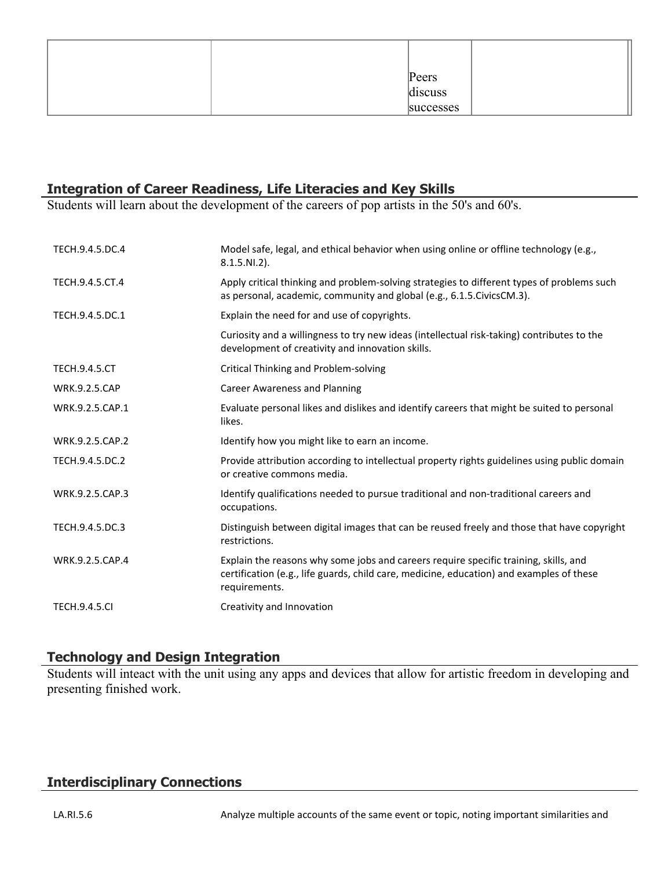| Peers |           |
|-------|-----------|
|       | discuss   |
|       | successes |

## **Integration of Career Readiness, Life Literacies and Key Skills**

Students will learn about the development of the careers of pop artists in the 50's and 60's.

| TECH.9.4.5.DC.4      | Model safe, legal, and ethical behavior when using online or offline technology (e.g.,<br>$8.1.5.NI.2$ ).                                                                                         |
|----------------------|---------------------------------------------------------------------------------------------------------------------------------------------------------------------------------------------------|
| TECH.9.4.5.CT.4      | Apply critical thinking and problem-solving strategies to different types of problems such<br>as personal, academic, community and global (e.g., 6.1.5.CivicsCM.3).                               |
| TECH.9.4.5.DC.1      | Explain the need for and use of copyrights.                                                                                                                                                       |
|                      | Curiosity and a willingness to try new ideas (intellectual risk-taking) contributes to the<br>development of creativity and innovation skills.                                                    |
| <b>TECH.9.4.5.CT</b> | Critical Thinking and Problem-solving                                                                                                                                                             |
| <b>WRK.9.2.5.CAP</b> | <b>Career Awareness and Planning</b>                                                                                                                                                              |
| WRK.9.2.5.CAP.1      | Evaluate personal likes and dislikes and identify careers that might be suited to personal<br>likes.                                                                                              |
| WRK.9.2.5.CAP.2      | Identify how you might like to earn an income.                                                                                                                                                    |
| TECH.9.4.5.DC.2      | Provide attribution according to intellectual property rights guidelines using public domain<br>or creative commons media.                                                                        |
| WRK.9.2.5.CAP.3      | Identify qualifications needed to pursue traditional and non-traditional careers and<br>occupations.                                                                                              |
| TECH.9.4.5.DC.3      | Distinguish between digital images that can be reused freely and those that have copyright<br>restrictions.                                                                                       |
| WRK.9.2.5.CAP.4      | Explain the reasons why some jobs and careers require specific training, skills, and<br>certification (e.g., life guards, child care, medicine, education) and examples of these<br>requirements. |
| <b>TECH.9.4.5.CI</b> | Creativity and Innovation                                                                                                                                                                         |

## **Technology and Design Integration**

Students will inteact with the unit using any apps and devices that allow for artistic freedom in developing and presenting finished work.

#### **Interdisciplinary Connections**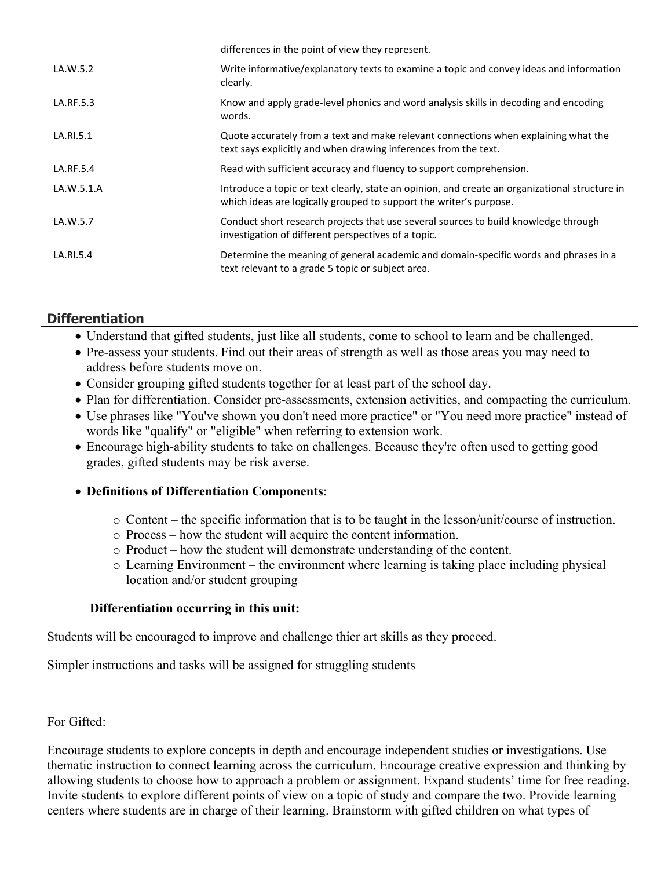|            | differences in the point of view they represent.                                                                                                                     |
|------------|----------------------------------------------------------------------------------------------------------------------------------------------------------------------|
| LA.W.5.2   | Write informative/explanatory texts to examine a topic and convey ideas and information<br>clearly.                                                                  |
| LA.RF.5.3  | Know and apply grade-level phonics and word analysis skills in decoding and encoding<br>words.                                                                       |
| LA.RI.5.1  | Quote accurately from a text and make relevant connections when explaining what the<br>text says explicitly and when drawing inferences from the text.               |
| LA.RF.5.4  | Read with sufficient accuracy and fluency to support comprehension.                                                                                                  |
| LA.W.5.1.A | Introduce a topic or text clearly, state an opinion, and create an organizational structure in<br>which ideas are logically grouped to support the writer's purpose. |
| LA.W.5.7   | Conduct short research projects that use several sources to build knowledge through<br>investigation of different perspectives of a topic.                           |
| LA.RI.5.4  | Determine the meaning of general academic and domain-specific words and phrases in a<br>text relevant to a grade 5 topic or subject area.                            |

## **Differentiation**

- Understand that gifted students, just like all students, come to school to learn and be challenged.
- Pre-assess your students. Find out their areas of strength as well as those areas you may need to address before students move on.
- Consider grouping gifted students together for at least part of the school day.
- Plan for differentiation. Consider pre-assessments, extension activities, and compacting the curriculum.
- Use phrases like "You've shown you don't need more practice" or "You need more practice" instead of words like "qualify" or "eligible" when referring to extension work.
- Encourage high-ability students to take on challenges. Because they're often used to getting good grades, gifted students may be risk averse.

#### **Definitions of Differentiation Components**:

- o Content the specific information that is to be taught in the lesson/unit/course of instruction.
- o Process how the student will acquire the content information.
- o Product how the student will demonstrate understanding of the content.
- o Learning Environment the environment where learning is taking place including physical location and/or student grouping

#### **Differentiation occurring in this unit:**

Students will be encouraged to improve and challenge thier art skills as they proceed.

Simpler instructions and tasks will be assigned for struggling students

For Gifted:

Encourage students to explore concepts in depth and encourage independent studies or investigations. Use thematic instruction to connect learning across the curriculum. Encourage creative expression and thinking by allowing students to choose how to approach a problem or assignment. Expand students' time for free reading. Invite students to explore different points of view on a topic of study and compare the two. Provide learning centers where students are in charge of their learning. Brainstorm with gifted children on what types of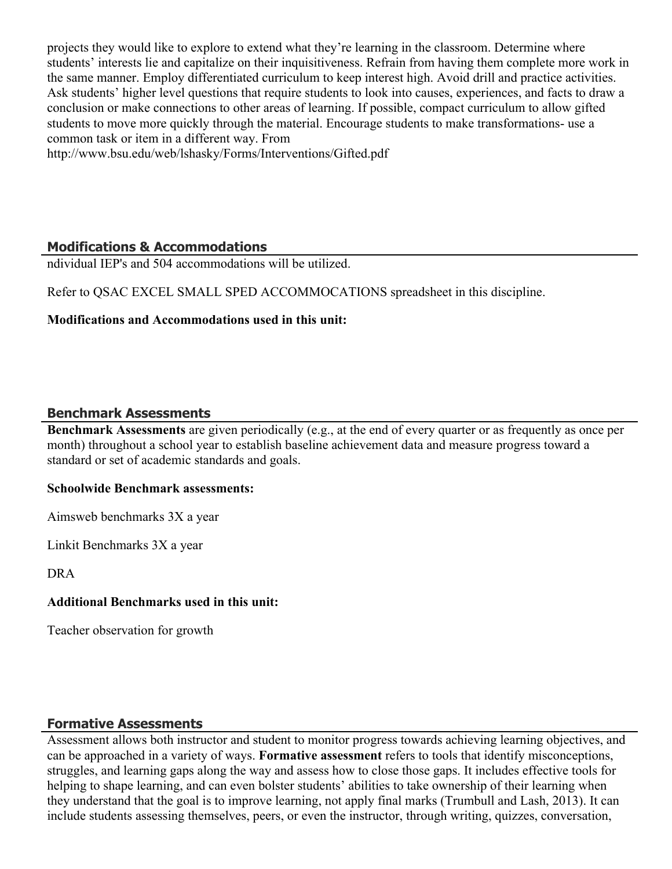projects they would like to explore to extend what they're learning in the classroom. Determine where students' interests lie and capitalize on their inquisitiveness. Refrain from having them complete more work in the same manner. Employ differentiated curriculum to keep interest high. Avoid drill and practice activities. Ask students' higher level questions that require students to look into causes, experiences, and facts to draw a conclusion or make connections to other areas of learning. If possible, compact curriculum to allow gifted students to move more quickly through the material. Encourage students to make transformations- use a common task or item in a different way. From

http://www.bsu.edu/web/lshasky/Forms/Interventions/Gifted.pdf

# **Modifications & Accommodations**

ndividual IEP's and 504 accommodations will be utilized.

Refer to QSAC EXCEL SMALL SPED ACCOMMOCATIONS spreadsheet in this discipline.

#### **Modifications and Accommodations used in this unit:**

## **Benchmark Assessments**

**Benchmark Assessments** are given periodically (e.g., at the end of every quarter or as frequently as once per month) throughout a school year to establish baseline achievement data and measure progress toward a standard or set of academic standards and goals.

#### **Schoolwide Benchmark assessments:**

Aimsweb benchmarks 3X a year

Linkit Benchmarks 3X a year

DRA

#### **Additional Benchmarks used in this unit:**

Teacher observation for growth

## **Formative Assessments**

Assessment allows both instructor and student to monitor progress towards achieving learning objectives, and can be approached in a variety of ways. **Formative assessment** refers to tools that identify misconceptions, struggles, and learning gaps along the way and assess how to close those gaps. It includes effective tools for helping to shape learning, and can even bolster students' abilities to take ownership of their learning when they understand that the goal is to improve learning, not apply final marks (Trumbull and Lash, 2013). It can include students assessing themselves, peers, or even the instructor, through writing, quizzes, conversation,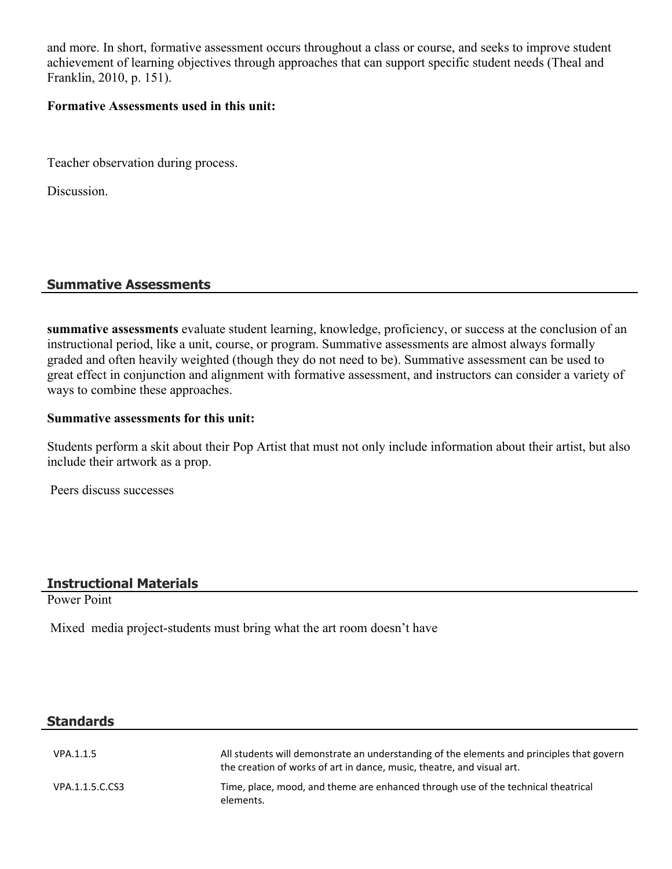and more. In short, formative assessment occurs throughout a class or course, and seeks to improve student achievement of learning objectives through approaches that can support specific student needs (Theal and Franklin, 2010, p. 151).

#### **Formative Assessments used in this unit:**

Teacher observation during process.

Discussion.

## **Summative Assessments**

**summative assessments** evaluate student learning, knowledge, proficiency, or success at the conclusion of an instructional period, like a unit, course, or program. Summative assessments are almost always formally graded and often heavily weighted (though they do not need to be). Summative assessment can be used to great effect in conjunction and alignment with formative assessment, and instructors can consider a variety of ways to combine these approaches.

#### **Summative assessments for this unit:**

Students perform a skit about their Pop Artist that must not only include information about their artist, but also include their artwork as a prop.

Peers discuss successes

#### **Instructional Materials**

Power Point

Mixed media project-students must bring what the art room doesn't have

#### **Standards**

| VPA.1.1.5       | All students will demonstrate an understanding of the elements and principles that govern<br>the creation of works of art in dance, music, theatre, and visual art. |
|-----------------|---------------------------------------------------------------------------------------------------------------------------------------------------------------------|
| VPA.1.1.5.C.CS3 | Time, place, mood, and theme are enhanced through use of the technical theatrical<br>elements.                                                                      |